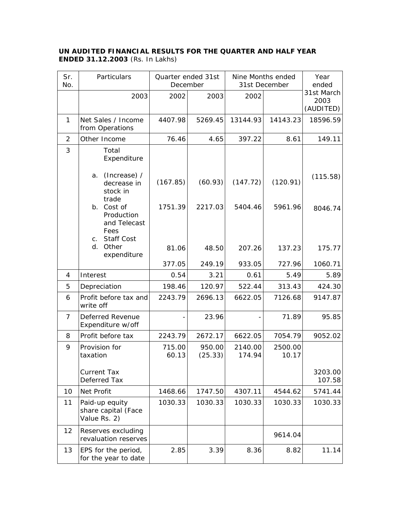## **UN AUDITED FINANCIAL RESULTS FOR THE QUARTER AND HALF YEAR ENDED 31.12.2003** (Rs. In Lakhs)

| Sr.<br>No.     | Particulars                                                                                | Quarter ended 31st<br>December |                   | Nine Months ended<br>31st December |                  | Year<br>ended                   |
|----------------|--------------------------------------------------------------------------------------------|--------------------------------|-------------------|------------------------------------|------------------|---------------------------------|
|                | 2003                                                                                       | 2002                           | 2003              | 2002                               |                  | 31st March<br>2003<br>(AUDITED) |
| 1              | Net Sales / Income<br>from Operations                                                      | 4407.98                        | 5269.45           | 13144.93                           | 14143.23         | 18596.59                        |
| $\overline{2}$ | Other Income                                                                               | 76.46                          | 4.65              | 397.22                             | 8.61             | 149.11                          |
| 3              | Total<br>Expenditure                                                                       |                                |                   |                                    |                  |                                 |
|                | (Increase) /<br>a.<br>decrease in<br>stock in<br>trade                                     | (167.85)                       | (60.93)           | (147.72)                           | (120.91)         | (115.58)                        |
|                | Cost of<br>b.<br>Production<br>and Telecast<br>Fees<br><b>Staff Cost</b><br>C <sub>1</sub> | 1751.39                        | 2217.03           | 5404.46                            | 5961.96          | 8046.74                         |
|                | Other<br>d.<br>expenditure                                                                 | 81.06                          | 48.50             | 207.26                             | 137.23           | 175.77                          |
|                |                                                                                            | 377.05                         | 249.19            | 933.05                             | 727.96           | 1060.71                         |
| 4              | Interest                                                                                   | 0.54                           | 3.21              | 0.61                               | 5.49             | 5.89                            |
| 5              | Depreciation                                                                               | 198.46                         | 120.97            | 522.44                             | 313.43           | 424.30                          |
| 6              | Profit before tax and<br>write off                                                         | 2243.79                        | 2696.13           | 6622.05                            | 7126.68          | 9147.87                         |
| $\overline{7}$ | Deferred Revenue<br>Expenditure w/off                                                      |                                | 23.96             |                                    | 71.89            | 95.85                           |
| 8              | Profit before tax                                                                          | 2243.79                        | 2672.17           | 6622.05                            | 7054.79          | 9052.02                         |
| 9              | Provision for<br>taxation                                                                  | 715.00<br>60.13                | 950.00<br>(25.33) | 2140.00<br>174.94                  | 2500.00<br>10.17 |                                 |
|                | <b>Current Tax</b><br>Deferred Tax                                                         |                                |                   |                                    |                  | 3203.00<br>107.58               |
| 10             | Net Profit                                                                                 | 1468.66                        | 1747.50           | 4307.11                            | 4544.62          | 5741.44                         |
| 11             | Paid-up equity<br>share capital (Face<br>Value Rs. 2)                                      | 1030.33                        | 1030.33           | 1030.33                            | 1030.33          | 1030.33                         |
| 12             | Reserves excluding<br>revaluation reserves                                                 |                                |                   |                                    | 9614.04          |                                 |
| 13             | EPS for the period,<br>for the year to date                                                | 2.85                           | 3.39              | 8.36                               | 8.82             | 11.14                           |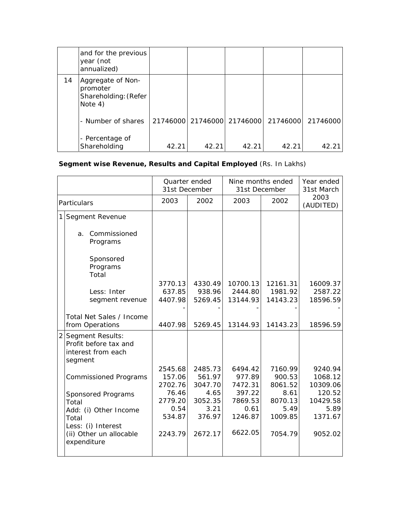|    | and for the previous<br>year (not<br>annualized)                 |       |       |       |                                     |          |
|----|------------------------------------------------------------------|-------|-------|-------|-------------------------------------|----------|
| 14 | Aggregate of Non-<br>promoter<br>Shareholding: (Refer<br>Note 4) |       |       |       |                                     |          |
|    | - Number of shares                                               |       |       |       | 21746000 21746000 21746000 21746000 | 21746000 |
|    | - Percentage of                                                  |       |       |       |                                     | 42.21    |
|    | Shareholding                                                     | 42.21 | 42.21 | 42.21 | 42.21                               |          |

## **Segment wise Revenue, Results and Capital Employed** (Rs. In Lakhs)

|                |                                                                            | Quarter ended<br>31st December |                | Nine months ended<br>31st December |                 | Year ended<br>31st March |
|----------------|----------------------------------------------------------------------------|--------------------------------|----------------|------------------------------------|-----------------|--------------------------|
| Particulars    |                                                                            | 2003                           | 2002           | 2003                               | 2002            | 2003<br>(AUDITED)        |
| 1              | Segment Revenue                                                            |                                |                |                                    |                 |                          |
|                | Commissioned<br>a.<br>Programs                                             |                                |                |                                    |                 |                          |
|                | Sponsored<br>Programs<br>Total                                             |                                |                |                                    |                 |                          |
|                |                                                                            | 3770.13                        | 4330.49        | 10700.13                           | 12161.31        | 16009.37                 |
|                | Less: Inter                                                                | 637.85                         | 938.96         | 2444.80                            | 1981.92         | 2587.22                  |
|                | segment revenue                                                            | 4407.98                        | 5269.45        | 13144.93                           | 14143.23        | 18596.59                 |
|                |                                                                            |                                |                |                                    |                 |                          |
|                | Total Net Sales / Income<br>from Operations                                | 4407.98                        | 5269.45        | 13144.93                           | 14143.23        | 18596.59                 |
| $\overline{2}$ | Segment Results:<br>Profit before tax and<br>interest from each<br>segment |                                |                |                                    |                 |                          |
|                |                                                                            | 2545.68                        | 2485.73        | 6494.42                            | 7160.99         | 9240.94                  |
|                | <b>Commissioned Programs</b>                                               | 157.06                         | 561.97         | 977.89                             | 900.53          | 1068.12                  |
|                |                                                                            | 2702.76                        | 3047.70        | 7472.31                            | 8061.52         | 10309.06                 |
|                | Sponsored Programs                                                         | 76.46                          | 4.65           | 397.22                             | 8.61            | 120.52                   |
|                | Total                                                                      | 2779.20                        | 3052.35        | 7869.53                            | 8070.13         | 10429.58                 |
|                | Add: (i) Other Income                                                      | 0.54<br>534.87                 | 3.21<br>376.97 | 0.61<br>1246.87                    | 5.49<br>1009.85 | 5.89<br>1371.67          |
|                | Total                                                                      |                                |                |                                    |                 |                          |
|                | Less: (i) Interest<br>(ii) Other un allocable<br>expenditure               | 2243.79                        | 2672.17        | 6622.05                            | 7054.79         | 9052.02                  |
|                |                                                                            |                                |                |                                    |                 |                          |